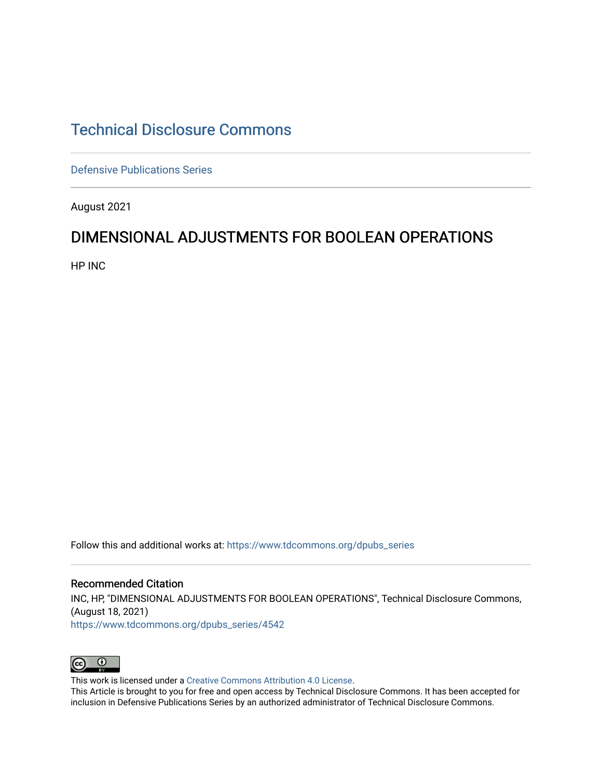# [Technical Disclosure Commons](https://www.tdcommons.org/)

[Defensive Publications Series](https://www.tdcommons.org/dpubs_series)

August 2021

## DIMENSIONAL ADJUSTMENTS FOR BOOLEAN OPERATIONS

HP INC

Follow this and additional works at: [https://www.tdcommons.org/dpubs\\_series](https://www.tdcommons.org/dpubs_series?utm_source=www.tdcommons.org%2Fdpubs_series%2F4542&utm_medium=PDF&utm_campaign=PDFCoverPages) 

Recommended Citation INC, HP, "DIMENSIONAL ADJUSTMENTS FOR BOOLEAN OPERATIONS", Technical Disclosure Commons, (August 18, 2021) [https://www.tdcommons.org/dpubs\\_series/4542](https://www.tdcommons.org/dpubs_series/4542?utm_source=www.tdcommons.org%2Fdpubs_series%2F4542&utm_medium=PDF&utm_campaign=PDFCoverPages)



This work is licensed under a [Creative Commons Attribution 4.0 License](http://creativecommons.org/licenses/by/4.0/deed.en_US).

This Article is brought to you for free and open access by Technical Disclosure Commons. It has been accepted for inclusion in Defensive Publications Series by an authorized administrator of Technical Disclosure Commons.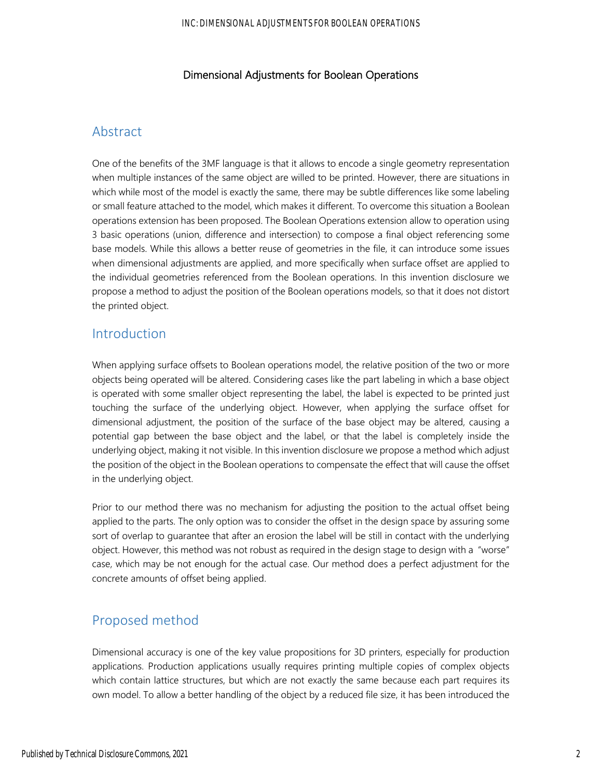#### Dimensional Adjustments for Boolean Operations

### Abstract

One of the benefits of the 3MF language is that it allows to encode a single geometry representation when multiple instances of the same object are willed to be printed. However, there are situations in which while most of the model is exactly the same, there may be subtle differences like some labeling or small feature attached to the model, which makes it different. To overcome this situation a Boolean operations extension has been proposed. The Boolean Operations extension allow to operation using 3 basic operations (union, difference and intersection) to compose a final object referencing some base models. While this allows a better reuse of geometries in the file, it can introduce some issues when dimensional adjustments are applied, and more specifically when surface offset are applied to the individual geometries referenced from the Boolean operations. In this invention disclosure we propose a method to adjust the position of the Boolean operations models, so that it does not distort the printed object.

### Introduction

When applying surface offsets to Boolean operations model, the relative position of the two or more objects being operated will be altered. Considering cases like the part labeling in which a base object is operated with some smaller object representing the label, the label is expected to be printed just touching the surface of the underlying object. However, when applying the surface offset for dimensional adjustment, the position of the surface of the base object may be altered, causing a potential gap between the base object and the label, or that the label is completely inside the underlying object, making it not visible. In this invention disclosure we propose a method which adjust the position of the object in the Boolean operations to compensate the effect that will cause the offset in the underlying object.

Prior to our method there was no mechanism for adjusting the position to the actual offset being applied to the parts. The only option was to consider the offset in the design space by assuring some sort of overlap to guarantee that after an erosion the label will be still in contact with the underlying object. However, this method was not robust as required in the design stage to design with a "worse" case, which may be not enough for the actual case. Our method does a perfect adjustment for the concrete amounts of offset being applied.

## Proposed method

Dimensional accuracy is one of the key value propositions for 3D printers, especially for production applications. Production applications usually requires printing multiple copies of complex objects which contain lattice structures, but which are not exactly the same because each part requires its own model. To allow a better handling of the object by a reduced file size, it has been introduced the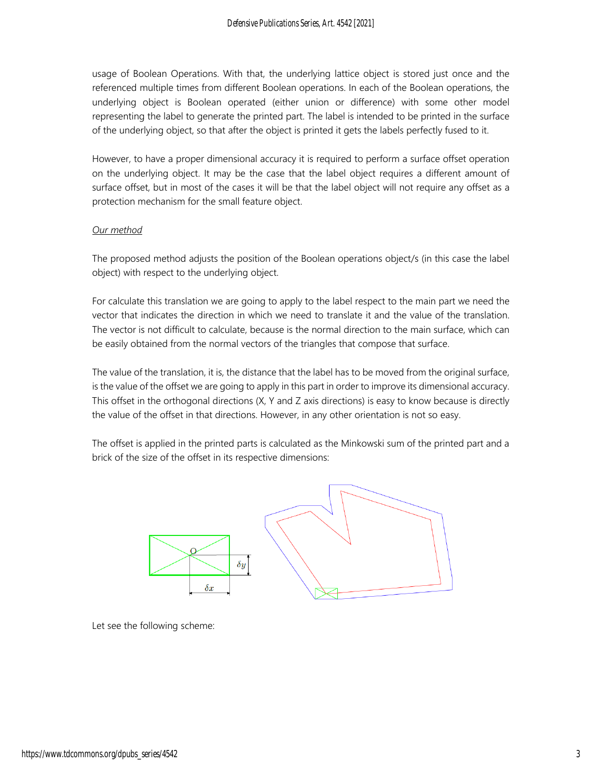usage of Boolean Operations. With that, the underlying lattice object is stored just once and the referenced multiple times from different Boolean operations. In each of the Boolean operations, the underlying object is Boolean operated (either union or difference) with some other model representing the label to generate the printed part. The label is intended to be printed in the surface of the underlying object, so that after the object is printed it gets the labels perfectly fused to it.

However, to have a proper dimensional accuracy it is required to perform a surface offset operation on the underlying object. It may be the case that the label object requires a different amount of surface offset, but in most of the cases it will be that the label object will not require any offset as a protection mechanism for the small feature object.

#### *Our method*

The proposed method adjusts the position of the Boolean operations object/s (in this case the label object) with respect to the underlying object.

For calculate this translation we are going to apply to the label respect to the main part we need the vector that indicates the direction in which we need to translate it and the value of the translation. The vector is not difficult to calculate, because is the normal direction to the main surface, which can be easily obtained from the normal vectors of the triangles that compose that surface.

The value of the translation, it is, the distance that the label has to be moved from the original surface, is the value of the offset we are going to apply in this part in order to improve its dimensional accuracy. This offset in the orthogonal directions (X, Y and Z axis directions) is easy to know because is directly the value of the offset in that directions. However, in any other orientation is not so easy.

The offset is applied in the printed parts is calculated as the Minkowski sum of the printed part and a brick of the size of the offset in its respective dimensions:



Let see the following scheme: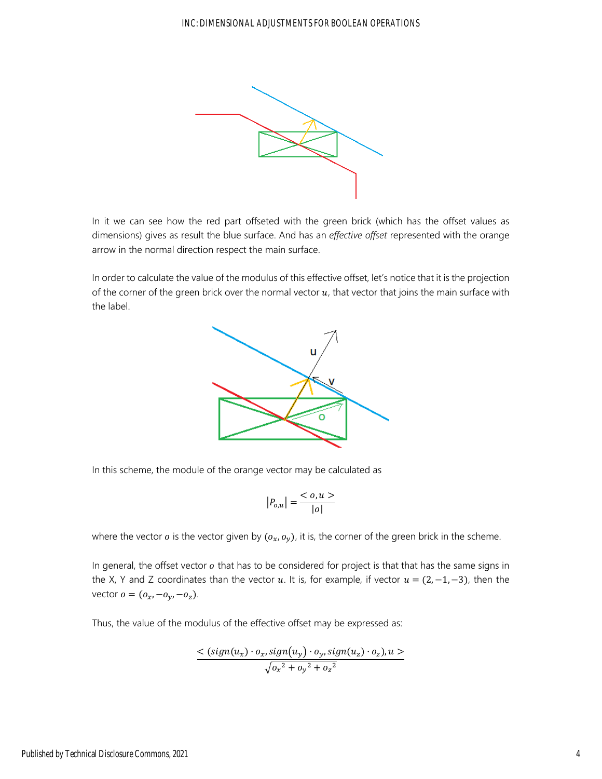

In it we can see how the red part offseted with the green brick (which has the offset values as dimensions) gives as result the blue surface. And has an *effective offset* represented with the orange arrow in the normal direction respect the main surface.

In order to calculate the value of the modulus of this effective offset, let's notice that it is the projection of the corner of the green brick over the normal vector  $u$ , that vector that joins the main surface with the label.



In this scheme, the module of the orange vector may be calculated as

$$
|P_{o,u}| = \frac{< o, u >}{|o|}
$$

where the vector  $o$  is the vector given by  $(o_x, o_y)$ , it is, the corner of the green brick in the scheme.

In general, the offset vector  $o$  that has to be considered for project is that that has the same signs in the X, Y and Z coordinates than the vector u. It is, for example, if vector  $u = (2, -1, -3)$ , then the vector  $o = (o_x, -o_y, -o_z)$ .

Thus, the value of the modulus of the effective offset may be expressed as:

$$
<(sign(u_x) \cdot o_x, sign(u_y) \cdot o_y, sign(u_z) \cdot o_z), u> \sqrt{o_x^2 + o_y^2 + o_z^2}
$$